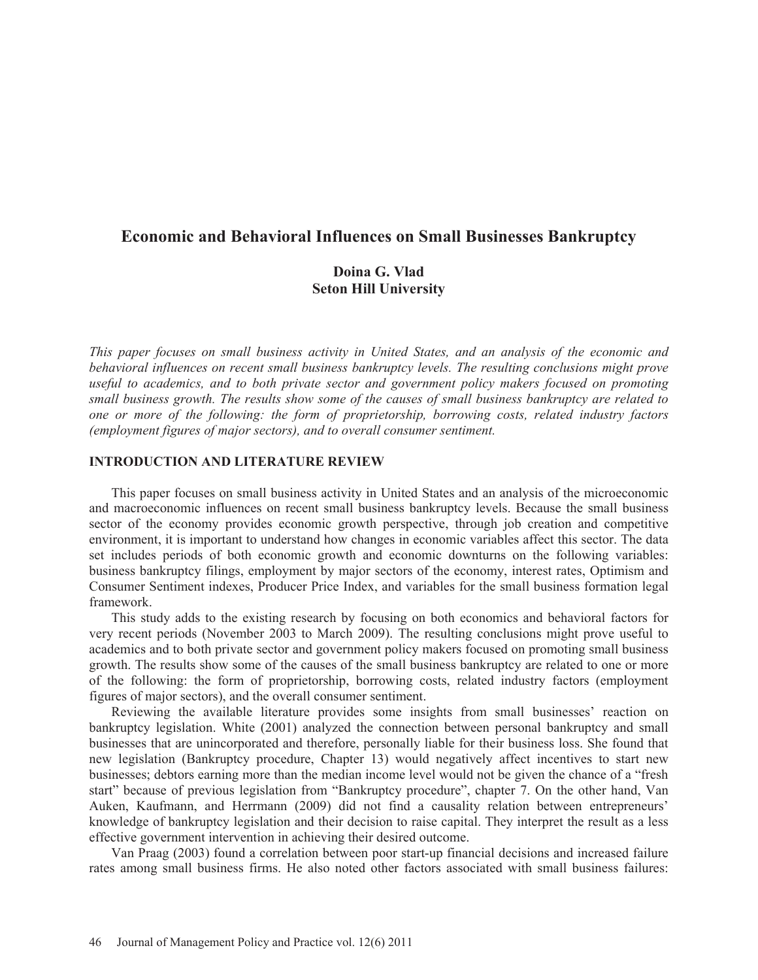# **Economic and Behavioral Influences on Small Businesses Bankruptcy**

## **Doina G. Vlad Seton Hill University**

*This paper focuses on small business activity in United States, and an analysis of the economic and behavioral influences on recent small business bankruptcy levels. The resulting conclusions might prove useful to academics, and to both private sector and government policy makers focused on promoting small business growth. The results show some of the causes of small business bankruptcy are related to one or more of the following: the form of proprietorship, borrowing costs, related industry factors (employment figures of major sectors), and to overall consumer sentiment.* 

#### **INTRODUCTION AND LITERATURE REVIEW**

This paper focuses on small business activity in United States and an analysis of the microeconomic and macroeconomic influences on recent small business bankruptcy levels. Because the small business sector of the economy provides economic growth perspective, through job creation and competitive environment, it is important to understand how changes in economic variables affect this sector. The data set includes periods of both economic growth and economic downturns on the following variables: business bankruptcy filings, employment by major sectors of the economy, interest rates, Optimism and Consumer Sentiment indexes, Producer Price Index, and variables for the small business formation legal framework.

This study adds to the existing research by focusing on both economics and behavioral factors for very recent periods (November 2003 to March 2009). The resulting conclusions might prove useful to academics and to both private sector and government policy makers focused on promoting small business growth. The results show some of the causes of the small business bankruptcy are related to one or more of the following: the form of proprietorship, borrowing costs, related industry factors (employment figures of major sectors), and the overall consumer sentiment.

Reviewing the available literature provides some insights from small businesses' reaction on bankruptcy legislation. White (2001) analyzed the connection between personal bankruptcy and small businesses that are unincorporated and therefore, personally liable for their business loss. She found that new legislation (Bankruptcy procedure, Chapter 13) would negatively affect incentives to start new businesses; debtors earning more than the median income level would not be given the chance of a "fresh start" because of previous legislation from "Bankruptcy procedure", chapter 7. On the other hand, Van Auken, Kaufmann, and Herrmann (2009) did not find a causality relation between entrepreneurs' knowledge of bankruptcy legislation and their decision to raise capital. They interpret the result as a less effective government intervention in achieving their desired outcome.

Van Praag (2003) found a correlation between poor start-up financial decisions and increased failure rates among small business firms. He also noted other factors associated with small business failures: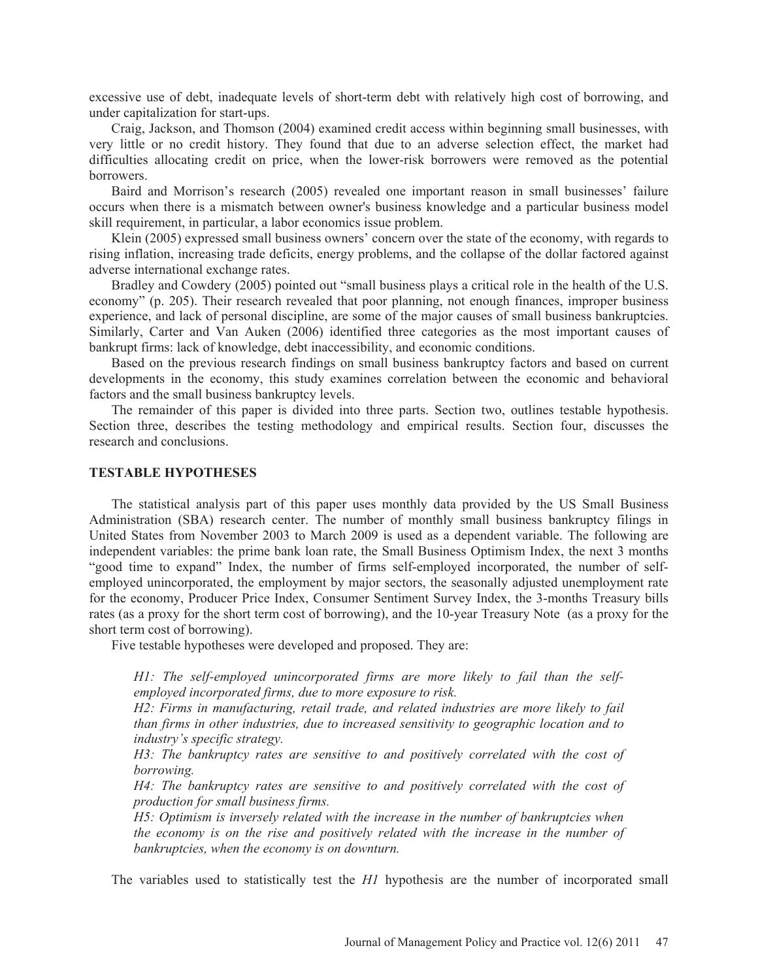excessive use of debt, inadequate levels of short-term debt with relatively high cost of borrowing, and under capitalization for start-ups.

Craig, Jackson, and Thomson (2004) examined credit access within beginning small businesses, with very little or no credit history. They found that due to an adverse selection effect, the market had difficulties allocating credit on price, when the lower-risk borrowers were removed as the potential borrowers.

Baird and Morrison's research (2005) revealed one important reason in small businesses' failure occurs when there is a mismatch between owner's business knowledge and a particular business model skill requirement, in particular, a labor economics issue problem.

Klein (2005) expressed small business owners' concern over the state of the economy, with regards to rising inflation, increasing trade deficits, energy problems, and the collapse of the dollar factored against adverse international exchange rates.

Bradley and Cowdery (2005) pointed out "small business plays a critical role in the health of the U.S. economy" (p. 205). Their research revealed that poor planning, not enough finances, improper business experience, and lack of personal discipline, are some of the major causes of small business bankruptcies. Similarly, Carter and Van Auken (2006) identified three categories as the most important causes of bankrupt firms: lack of knowledge, debt inaccessibility, and economic conditions.

Based on the previous research findings on small business bankruptcy factors and based on current developments in the economy, this study examines correlation between the economic and behavioral factors and the small business bankruptcy levels.

The remainder of this paper is divided into three parts. Section two, outlines testable hypothesis. Section three, describes the testing methodology and empirical results. Section four, discusses the research and conclusions.

#### **TESTABLE HYPOTHESES**

The statistical analysis part of this paper uses monthly data provided by the US Small Business Administration (SBA) research center. The number of monthly small business bankruptcy filings in United States from November 2003 to March 2009 is used as a dependent variable. The following are independent variables: the prime bank loan rate, the Small Business Optimism Index, the next 3 months "good time to expand" Index, the number of firms self-employed incorporated, the number of selfemployed unincorporated, the employment by major sectors, the seasonally adjusted unemployment rate for the economy, Producer Price Index, Consumer Sentiment Survey Index, the 3-months Treasury bills rates (as a proxy for the short term cost of borrowing), and the 10-year Treasury Note (as a proxy for the short term cost of borrowing).

Five testable hypotheses were developed and proposed. They are:

*H1: The self-employed unincorporated firms are more likely to fail than the selfemployed incorporated firms, due to more exposure to risk.* 

*H2: Firms in manufacturing, retail trade, and related industries are more likely to fail than firms in other industries, due to increased sensitivity to geographic location and to industry's specific strategy.* 

*H3: The bankruptcy rates are sensitive to and positively correlated with the cost of borrowing.* 

*H4: The bankruptcy rates are sensitive to and positively correlated with the cost of production for small business firms.* 

*H5: Optimism is inversely related with the increase in the number of bankruptcies when the economy is on the rise and positively related with the increase in the number of bankruptcies, when the economy is on downturn.* 

The variables used to statistically test the *H1* hypothesis are the number of incorporated small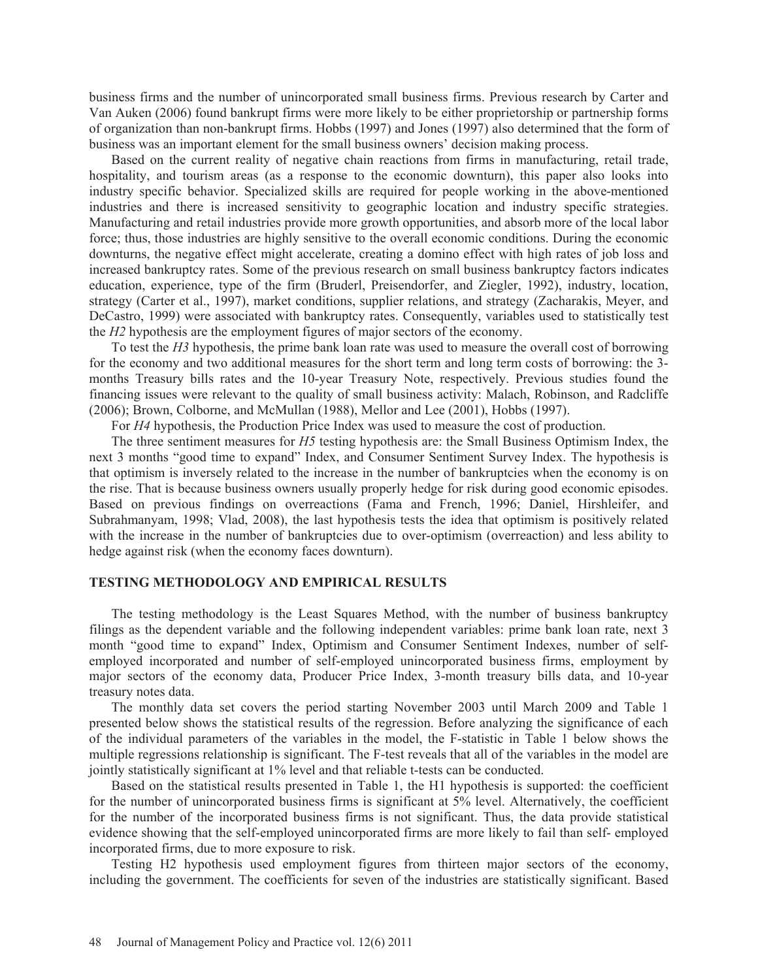business firms and the number of unincorporated small business firms. Previous research by Carter and Van Auken (2006) found bankrupt firms were more likely to be either proprietorship or partnership forms of organization than non-bankrupt firms. Hobbs (1997) and Jones (1997) also determined that the form of business was an important element for the small business owners' decision making process.

Based on the current reality of negative chain reactions from firms in manufacturing, retail trade, hospitality, and tourism areas (as a response to the economic downturn), this paper also looks into industry specific behavior. Specialized skills are required for people working in the above-mentioned industries and there is increased sensitivity to geographic location and industry specific strategies. Manufacturing and retail industries provide more growth opportunities, and absorb more of the local labor force; thus, those industries are highly sensitive to the overall economic conditions. During the economic downturns, the negative effect might accelerate, creating a domino effect with high rates of job loss and increased bankruptcy rates. Some of the previous research on small business bankruptcy factors indicates education, experience, type of the firm (Bruderl, Preisendorfer, and Ziegler, 1992), industry, location, strategy (Carter et al., 1997), market conditions, supplier relations, and strategy (Zacharakis, Meyer, and DeCastro, 1999) were associated with bankruptcy rates. Consequently, variables used to statistically test the *H2* hypothesis are the employment figures of major sectors of the economy.

To test the *H3* hypothesis, the prime bank loan rate was used to measure the overall cost of borrowing for the economy and two additional measures for the short term and long term costs of borrowing: the 3 months Treasury bills rates and the 10-year Treasury Note, respectively. Previous studies found the financing issues were relevant to the quality of small business activity: Malach, Robinson, and Radcliffe (2006); Brown, Colborne, and McMullan (1988), Mellor and Lee (2001), Hobbs (1997).

For *H4* hypothesis, the Production Price Index was used to measure the cost of production.

The three sentiment measures for *H5* testing hypothesis are: the Small Business Optimism Index, the next 3 months "good time to expand" Index, and Consumer Sentiment Survey Index. The hypothesis is that optimism is inversely related to the increase in the number of bankruptcies when the economy is on the rise. That is because business owners usually properly hedge for risk during good economic episodes. Based on previous findings on overreactions (Fama and French, 1996; Daniel, Hirshleifer, and Subrahmanyam, 1998; Vlad, 2008), the last hypothesis tests the idea that optimism is positively related with the increase in the number of bankruptcies due to over-optimism (overreaction) and less ability to hedge against risk (when the economy faces downturn).

#### **TESTING METHODOLOGY AND EMPIRICAL RESULTS**

The testing methodology is the Least Squares Method, with the number of business bankruptcy filings as the dependent variable and the following independent variables: prime bank loan rate, next 3 month "good time to expand" Index, Optimism and Consumer Sentiment Indexes, number of selfemployed incorporated and number of self-employed unincorporated business firms, employment by major sectors of the economy data, Producer Price Index, 3-month treasury bills data, and 10-year treasury notes data.

The monthly data set covers the period starting November 2003 until March 2009 and Table 1 presented below shows the statistical results of the regression. Before analyzing the significance of each of the individual parameters of the variables in the model, the F-statistic in Table 1 below shows the multiple regressions relationship is significant. The F-test reveals that all of the variables in the model are jointly statistically significant at 1% level and that reliable t-tests can be conducted.

Based on the statistical results presented in Table 1, the H1 hypothesis is supported: the coefficient for the number of unincorporated business firms is significant at 5% level. Alternatively, the coefficient for the number of the incorporated business firms is not significant. Thus, the data provide statistical evidence showing that the self-employed unincorporated firms are more likely to fail than self- employed incorporated firms, due to more exposure to risk.

Testing H2 hypothesis used employment figures from thirteen major sectors of the economy, including the government. The coefficients for seven of the industries are statistically significant. Based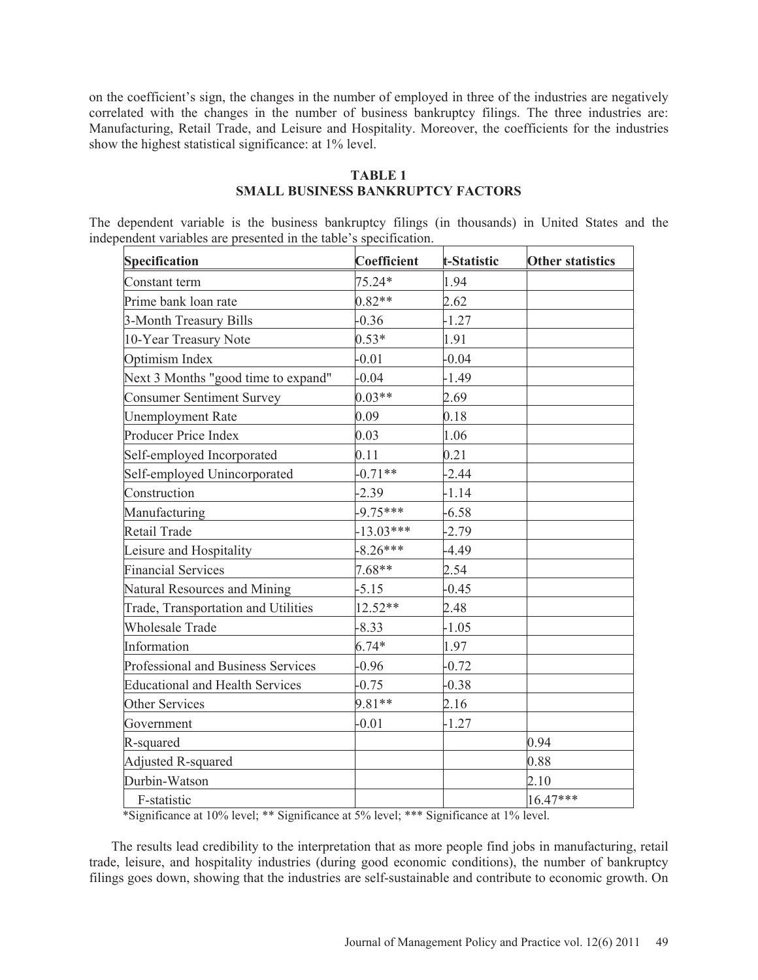on the coefficient's sign, the changes in the number of employed in three of the industries are negatively correlated with the changes in the number of business bankruptcy filings. The three industries are: Manufacturing, Retail Trade, and Leisure and Hospitality. Moreover, the coefficients for the industries show the highest statistical significance: at 1% level.

## **TABLE 1 SMALL BUSINESS BANKRUPTCY FACTORS**

The dependent variable is the business bankruptcy filings (in thousands) in United States and the independent variables are presented in the table's specification.

| Specification                          | <b>Coefficient</b> | t-Statistic | <b>Other statistics</b> |
|----------------------------------------|--------------------|-------------|-------------------------|
| Constant term                          | $75.24*$           | 1.94        |                         |
| Prime bank loan rate                   | $0.82**$           | 2.62        |                         |
| 3-Month Treasury Bills                 | $-0.36$            | $-1.27$     |                         |
| 10-Year Treasury Note                  | $0.53*$            | 1.91        |                         |
| Optimism Index                         | $-0.01$            | $-0.04$     |                         |
| Next 3 Months "good time to expand"    | $-0.04$            | $-1.49$     |                         |
| <b>Consumer Sentiment Survey</b>       | $0.03**$           | 2.69        |                         |
| <b>Unemployment Rate</b>               | 0.09               | 0.18        |                         |
| Producer Price Index                   | 0.03               | 1.06        |                         |
| Self-employed Incorporated             | 0.11               | 0.21        |                         |
| Self-employed Unincorporated           | $-0.71**$          | $-2.44$     |                         |
| Construction                           | $-2.39$            | $-1.14$     |                         |
| Manufacturing                          | $-9.75***$         | $-6.58$     |                         |
| Retail Trade                           | $-13.03***$        | $-2.79$     |                         |
| Leisure and Hospitality                | $-8.26***$         | $-4.49$     |                         |
| <b>Financial Services</b>              | 7.68**             | 2.54        |                         |
| Natural Resources and Mining           | $-5.15$            | $-0.45$     |                         |
| Trade, Transportation and Utilities    | $12.52**$          | 2.48        |                         |
| Wholesale Trade                        | $-8.33$            | $-1.05$     |                         |
| Information                            | $6.74*$            | 1.97        |                         |
| Professional and Business Services     | $-0.96$            | $-0.72$     |                         |
| <b>Educational and Health Services</b> | $-0.75$            | $-0.38$     |                         |
| Other Services                         | 9.81**             | 2.16        |                         |
| Government                             | $-0.01$            | $-1.27$     |                         |
| R-squared                              |                    |             | 0.94                    |
| <b>Adjusted R-squared</b>              |                    |             | 0.88                    |
| Durbin-Watson                          |                    |             | 2.10                    |
| F-statistic                            |                    |             | 16.47***                |

\*Significance at 10% level; \*\* Significance at 5% level; \*\*\* Significance at 1% level.

The results lead credibility to the interpretation that as more people find jobs in manufacturing, retail trade, leisure, and hospitality industries (during good economic conditions), the number of bankruptcy filings goes down, showing that the industries are self-sustainable and contribute to economic growth. On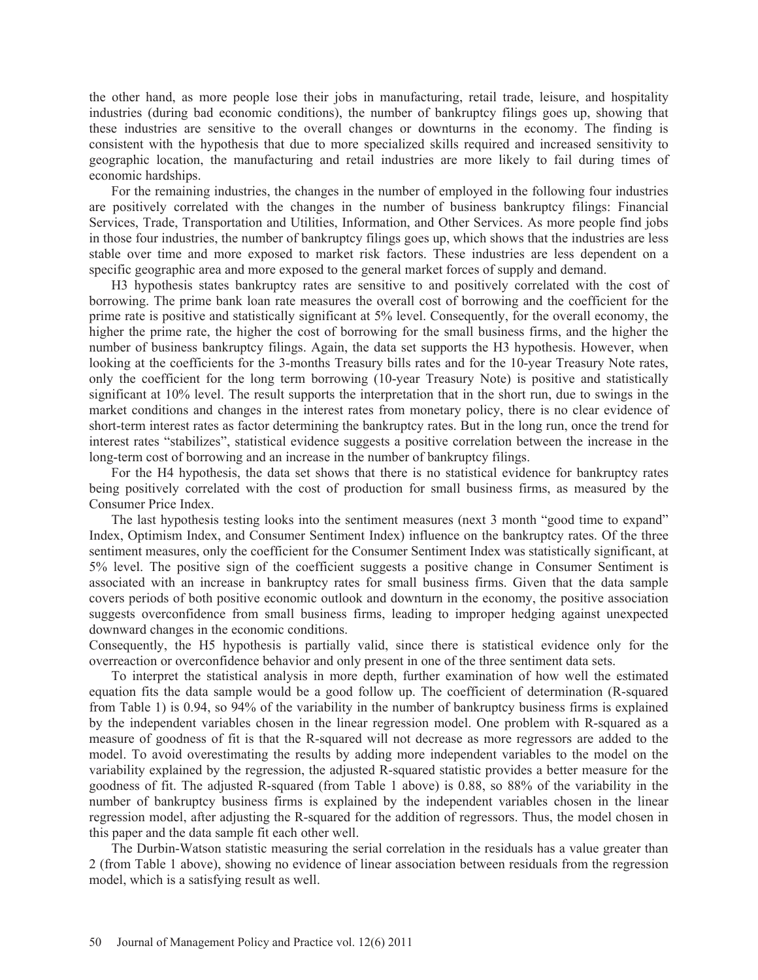the other hand, as more people lose their jobs in manufacturing, retail trade, leisure, and hospitality industries (during bad economic conditions), the number of bankruptcy filings goes up, showing that these industries are sensitive to the overall changes or downturns in the economy. The finding is consistent with the hypothesis that due to more specialized skills required and increased sensitivity to geographic location, the manufacturing and retail industries are more likely to fail during times of economic hardships.

For the remaining industries, the changes in the number of employed in the following four industries are positively correlated with the changes in the number of business bankruptcy filings: Financial Services, Trade, Transportation and Utilities, Information, and Other Services. As more people find jobs in those four industries, the number of bankruptcy filings goes up, which shows that the industries are less stable over time and more exposed to market risk factors. These industries are less dependent on a specific geographic area and more exposed to the general market forces of supply and demand.

H3 hypothesis states bankruptcy rates are sensitive to and positively correlated with the cost of borrowing. The prime bank loan rate measures the overall cost of borrowing and the coefficient for the prime rate is positive and statistically significant at 5% level. Consequently, for the overall economy, the higher the prime rate, the higher the cost of borrowing for the small business firms, and the higher the number of business bankruptcy filings. Again, the data set supports the H3 hypothesis. However, when looking at the coefficients for the 3-months Treasury bills rates and for the 10-year Treasury Note rates, only the coefficient for the long term borrowing (10-year Treasury Note) is positive and statistically significant at 10% level. The result supports the interpretation that in the short run, due to swings in the market conditions and changes in the interest rates from monetary policy, there is no clear evidence of short-term interest rates as factor determining the bankruptcy rates. But in the long run, once the trend for interest rates "stabilizes", statistical evidence suggests a positive correlation between the increase in the long-term cost of borrowing and an increase in the number of bankruptcy filings.

For the H4 hypothesis, the data set shows that there is no statistical evidence for bankruptcy rates being positively correlated with the cost of production for small business firms, as measured by the Consumer Price Index.

The last hypothesis testing looks into the sentiment measures (next 3 month "good time to expand" Index, Optimism Index, and Consumer Sentiment Index) influence on the bankruptcy rates. Of the three sentiment measures, only the coefficient for the Consumer Sentiment Index was statistically significant, at 5% level. The positive sign of the coefficient suggests a positive change in Consumer Sentiment is associated with an increase in bankruptcy rates for small business firms. Given that the data sample covers periods of both positive economic outlook and downturn in the economy, the positive association suggests overconfidence from small business firms, leading to improper hedging against unexpected downward changes in the economic conditions.

Consequently, the H5 hypothesis is partially valid, since there is statistical evidence only for the overreaction or overconfidence behavior and only present in one of the three sentiment data sets.

To interpret the statistical analysis in more depth, further examination of how well the estimated equation fits the data sample would be a good follow up. The coefficient of determination (R-squared from Table 1) is 0.94, so 94% of the variability in the number of bankruptcy business firms is explained by the independent variables chosen in the linear regression model. One problem with R-squared as a measure of goodness of fit is that the R-squared will not decrease as more regressors are added to the model. To avoid overestimating the results by adding more independent variables to the model on the variability explained by the regression, the adjusted R-squared statistic provides a better measure for the goodness of fit. The adjusted R-squared (from Table 1 above) is 0.88, so 88% of the variability in the number of bankruptcy business firms is explained by the independent variables chosen in the linear regression model, after adjusting the R-squared for the addition of regressors. Thus, the model chosen in this paper and the data sample fit each other well.

The Durbin-Watson statistic measuring the serial correlation in the residuals has a value greater than 2 (from Table 1 above), showing no evidence of linear association between residuals from the regression model, which is a satisfying result as well.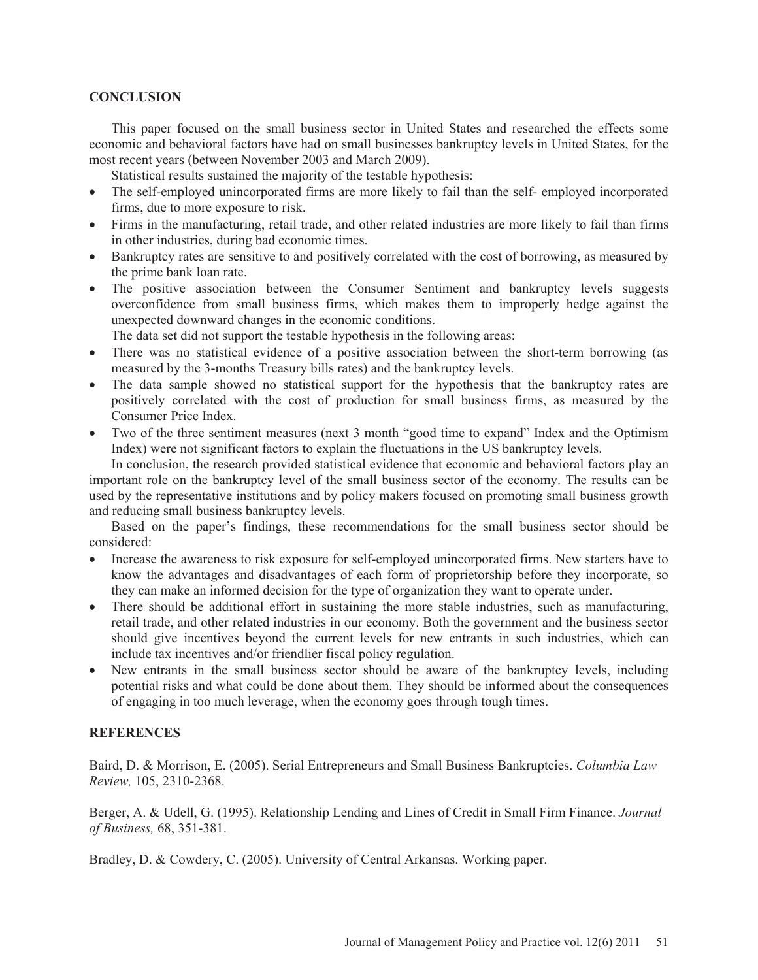### **CONCLUSION**

This paper focused on the small business sector in United States and researched the effects some economic and behavioral factors have had on small businesses bankruptcy levels in United States, for the most recent years (between November 2003 and March 2009).

Statistical results sustained the majority of the testable hypothesis:

- The self-employed unincorporated firms are more likely to fail than the self- employed incorporated firms, due to more exposure to risk.
- Firms in the manufacturing, retail trade, and other related industries are more likely to fail than firms in other industries, during bad economic times.
- Bankruptcy rates are sensitive to and positively correlated with the cost of borrowing, as measured by the prime bank loan rate.
- The positive association between the Consumer Sentiment and bankruptcy levels suggests overconfidence from small business firms, which makes them to improperly hedge against the unexpected downward changes in the economic conditions.
	- The data set did not support the testable hypothesis in the following areas:
- There was no statistical evidence of a positive association between the short-term borrowing (as measured by the 3-months Treasury bills rates) and the bankruptcy levels.
- The data sample showed no statistical support for the hypothesis that the bankruptcy rates are positively correlated with the cost of production for small business firms, as measured by the Consumer Price Index.
- Two of the three sentiment measures (next 3 month "good time to expand" Index and the Optimism Index) were not significant factors to explain the fluctuations in the US bankruptcy levels.

In conclusion, the research provided statistical evidence that economic and behavioral factors play an important role on the bankruptcy level of the small business sector of the economy. The results can be used by the representative institutions and by policy makers focused on promoting small business growth and reducing small business bankruptcy levels.

Based on the paper's findings, these recommendations for the small business sector should be considered:

- x Increase the awareness to risk exposure for self-employed unincorporated firms. New starters have to know the advantages and disadvantages of each form of proprietorship before they incorporate, so they can make an informed decision for the type of organization they want to operate under.
- There should be additional effort in sustaining the more stable industries, such as manufacturing, retail trade, and other related industries in our economy. Both the government and the business sector should give incentives beyond the current levels for new entrants in such industries, which can include tax incentives and/or friendlier fiscal policy regulation.
- New entrants in the small business sector should be aware of the bankruptcy levels, including potential risks and what could be done about them. They should be informed about the consequences of engaging in too much leverage, when the economy goes through tough times.

#### **REFERENCES**

Baird, D. & Morrison, E. (2005). Serial Entrepreneurs and Small Business Bankruptcies. *Columbia Law Review,* 105, 2310-2368.

Berger, A. & Udell, G. (1995). Relationship Lending and Lines of Credit in Small Firm Finance. *Journal of Business,* 68, 351-381.

Bradley, D. & Cowdery, C. (2005). University of Central Arkansas. Working paper.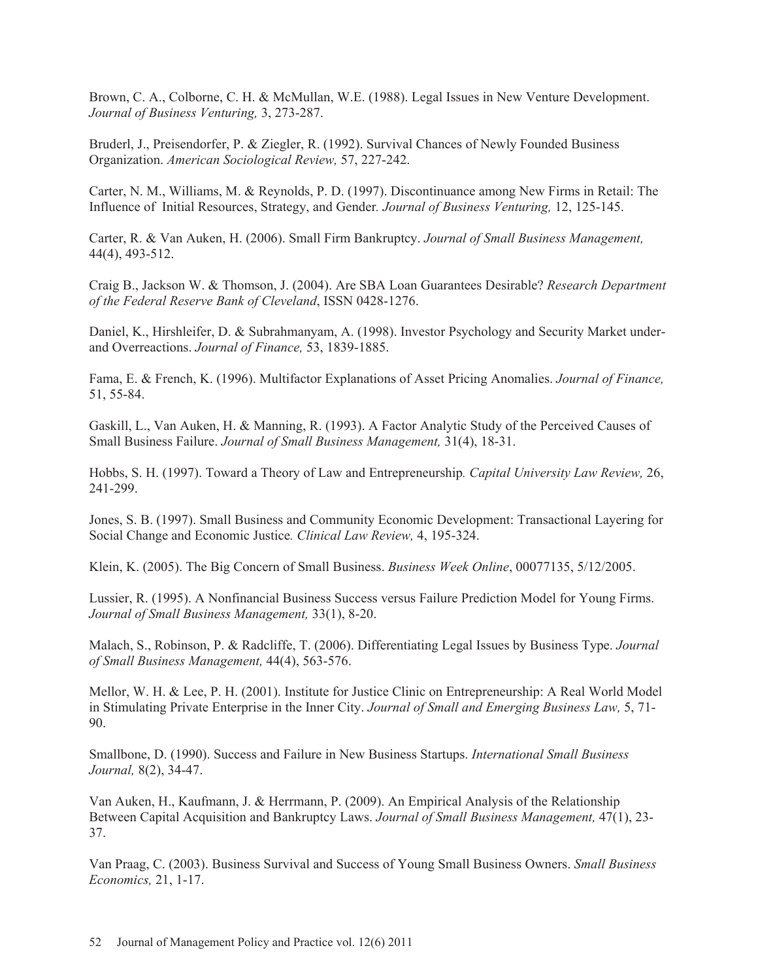Brown, C. A., Colborne, C. H. & McMullan, W.E. (1988). Legal Issues in New Venture Development. *Journal of Business Venturing,* 3, 273-287.

Bruderl, J., Preisendorfer, P. & Ziegler, R. (1992). Survival Chances of Newly Founded Business Organization. *American Sociological Review,* 57, 227-242.

Carter, N. M., Williams, M. & Reynolds, P. D. (1997). Discontinuance among New Firms in Retail: The Influence of Initial Resources, Strategy, and Gender*. Journal of Business Venturing,* 12, 125-145.

Carter, R. & Van Auken, H. (2006). Small Firm Bankruptcy. *Journal of Small Business Management,* 44(4), 493-512.

Craig B., Jackson W. & Thomson, J. (2004). Are SBA Loan Guarantees Desirable? *Research Department of the Federal Reserve Bank of Cleveland*, ISSN 0428-1276.

Daniel, K., Hirshleifer, D. & Subrahmanyam, A. (1998). Investor Psychology and Security Market underand Overreactions. *Journal of Finance,* 53, 1839-1885.

Fama, E. & French, K. (1996). Multifactor Explanations of Asset Pricing Anomalies. *Journal of Finance,* 51, 55-84.

Gaskill, L., Van Auken, H. & Manning, R. (1993). A Factor Analytic Study of the Perceived Causes of Small Business Failure. *Journal of Small Business Management,* 31(4), 18-31.

Hobbs, S. H. (1997). Toward a Theory of Law and Entrepreneurship*. Capital University Law Review,* 26, 241-299.

Jones, S. B. (1997). Small Business and Community Economic Development: Transactional Layering for Social Change and Economic Justice*. Clinical Law Review,* 4, 195-324.

Klein, K. (2005). The Big Concern of Small Business. *Business Week Online*, 00077135, 5/12/2005.

Lussier, R. (1995). A Nonfinancial Business Success versus Failure Prediction Model for Young Firms. *Journal of Small Business Management,* 33(1), 8-20.

Malach, S., Robinson, P. & Radcliffe, T. (2006). Differentiating Legal Issues by Business Type. *Journal of Small Business Management,* 44(4), 563-576.

Mellor, W. H. & Lee, P. H. (2001). Institute for Justice Clinic on Entrepreneurship: A Real World Model in Stimulating Private Enterprise in the Inner City. *Journal of Small and Emerging Business Law,* 5, 71- 90.

Smallbone, D. (1990). Success and Failure in New Business Startups. *International Small Business Journal,* 8(2), 34-47.

Van Auken, H., Kaufmann, J. & Herrmann, P. (2009). An Empirical Analysis of the Relationship Between Capital Acquisition and Bankruptcy Laws. *Journal of Small Business Management,* 47(1), 23- 37.

Van Praag, C. (2003). Business Survival and Success of Young Small Business Owners. *Small Business Economics,* 21, 1-17.